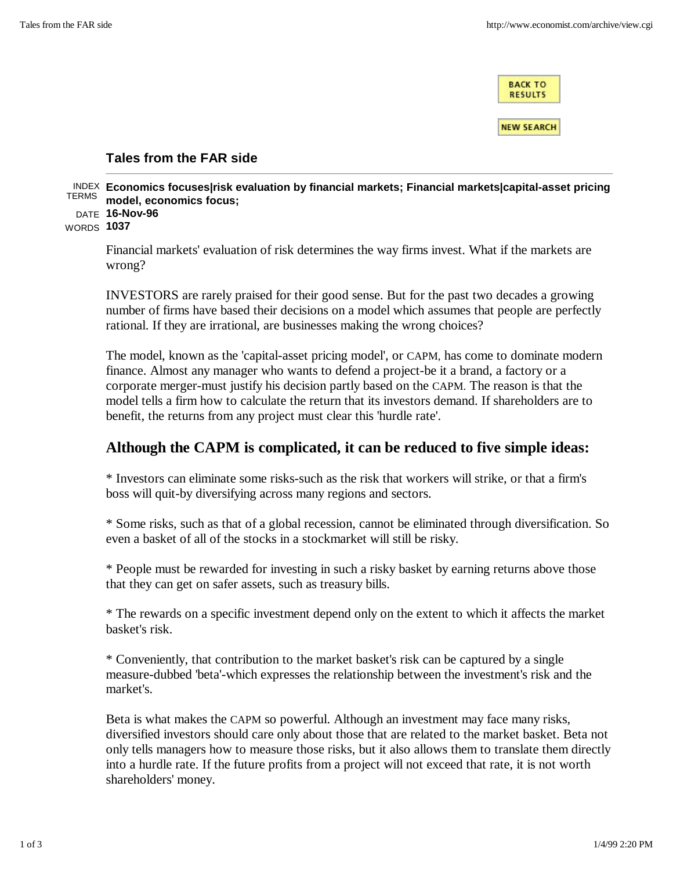**BACK TO RESULTS** 

**NEW SEARCH** 

## **Tales from the FAR side**

|            |                   | <sup>TERMS</sup> model, economics focus;                                                                                                             |  |  |  |                                     | INDEX Economics focuses/risk evaluation by financial markets; Financial markets/capital-asset pricing |  |
|------------|-------------------|------------------------------------------------------------------------------------------------------------------------------------------------------|--|--|--|-------------------------------------|-------------------------------------------------------------------------------------------------------|--|
| WORDS 1037 | DATE $16$ -Nov-96 |                                                                                                                                                      |  |  |  |                                     |                                                                                                       |  |
|            |                   | $\mathbf{1}$ and $\mathbf{1}$ and $\mathbf{2}$ and $\mathbf{3}$ and $\mathbf{4}$ and $\mathbf{5}$ and $\mathbf{6}$ and $\mathbf{7}$ and $\mathbf{8}$ |  |  |  | $\alpha$ . The contract of $\alpha$ |                                                                                                       |  |

Financial markets' evaluation of risk determines the way firms invest. What if the markets are wrong?

INVESTORS are rarely praised for their good sense. But for the past two decades a growing number of firms have based their decisions on a model which assumes that people are perfectly rational. If they are irrational, are businesses making the wrong choices?

The model, known as the 'capital-asset pricing model', or CAPM, has come to dominate modern finance. Almost any manager who wants to defend a project-be it a brand, a factory or a corporate merger-must justify his decision partly based on the CAPM. The reason is that the model tells a firm how to calculate the return that its investors demand. If shareholders are to benefit, the returns from any project must clear this 'hurdle rate'.

## **Although the CAPM is complicated, it can be reduced to five simple ideas:**

\* Investors can eliminate some risks-such as the risk that workers will strike, or that a firm's boss will quit-by diversifying across many regions and sectors.

\* Some risks, such as that of a global recession, cannot be eliminated through diversification. So even a basket of all of the stocks in a stockmarket will still be risky.

\* People must be rewarded for investing in such a risky basket by earning returns above those that they can get on safer assets, such as treasury bills.

\* The rewards on a specific investment depend only on the extent to which it affects the market basket's risk.

\* Conveniently, that contribution to the market basket's risk can be captured by a single measure-dubbed 'beta'-which expresses the relationship between the investment's risk and the market's.

Beta is what makes the CAPM so powerful. Although an investment may face many risks, diversified investors should care only about those that are related to the market basket. Beta not only tells managers how to measure those risks, but it also allows them to translate them directly into a hurdle rate. If the future profits from a project will not exceed that rate, it is not worth shareholders' money.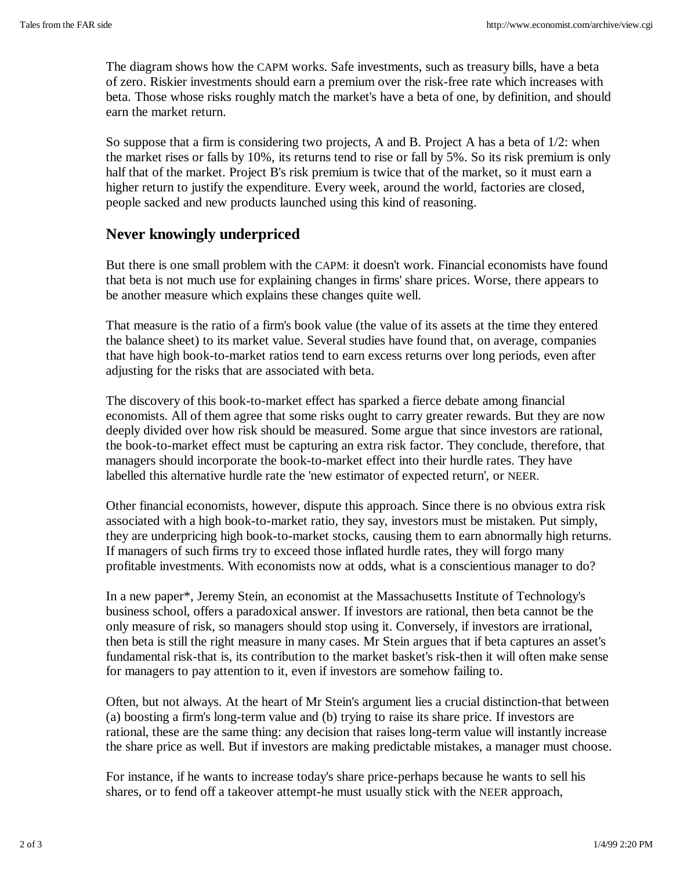The diagram shows how the CAPM works. Safe investments, such as treasury bills, have a beta of zero. Riskier investments should earn a premium over the risk-free rate which increases with beta. Those whose risks roughly match the market's have a beta of one, by definition, and should earn the market return.

So suppose that a firm is considering two projects, A and B. Project A has a beta of  $1/2$ : when the market rises or falls by 10%, its returns tend to rise or fall by 5%. So its risk premium is only half that of the market. Project B's risk premium is twice that of the market, so it must earn a higher return to justify the expenditure. Every week, around the world, factories are closed, people sacked and new products launched using this kind of reasoning.

## **Never knowingly underpriced**

But there is one small problem with the CAPM: it doesn't work. Financial economists have found that beta is not much use for explaining changes in firms' share prices. Worse, there appears to be another measure which explains these changes quite well.

That measure is the ratio of a firm's book value (the value of its assets at the time they entered the balance sheet) to its market value. Several studies have found that, on average, companies that have high book-to-market ratios tend to earn excess returns over long periods, even after adjusting for the risks that are associated with beta.

The discovery of this book-to-market effect has sparked a fierce debate among financial economists. All of them agree that some risks ought to carry greater rewards. But they are now deeply divided over how risk should be measured. Some argue that since investors are rational, the book-to-market effect must be capturing an extra risk factor. They conclude, therefore, that managers should incorporate the book-to-market effect into their hurdle rates. They have labelled this alternative hurdle rate the 'new estimator of expected return', or NEER.

Other financial economists, however, dispute this approach. Since there is no obvious extra risk associated with a high book-to-market ratio, they say, investors must be mistaken. Put simply, they are underpricing high book-to-market stocks, causing them to earn abnormally high returns. If managers of such firms try to exceed those inflated hurdle rates, they will forgo many profitable investments. With economists now at odds, what is a conscientious manager to do?

In a new paper\*, Jeremy Stein, an economist at the Massachusetts Institute of Technology's business school, offers a paradoxical answer. If investors are rational, then beta cannot be the only measure of risk, so managers should stop using it. Conversely, if investors are irrational, then beta is still the right measure in many cases. Mr Stein argues that if beta captures an asset's fundamental risk-that is, its contribution to the market basket's risk-then it will often make sense for managers to pay attention to it, even if investors are somehow failing to.

Often, but not always. At the heart of Mr Stein's argument lies a crucial distinction-that between (a) boosting a firm's long-term value and (b) trying to raise its share price. If investors are rational, these are the same thing: any decision that raises long-term value will instantly increase the share price as well. But if investors are making predictable mistakes, a manager must choose.

For instance, if he wants to increase today's share price-perhaps because he wants to sell his shares, or to fend off a takeover attempt-he must usually stick with the NEER approach,